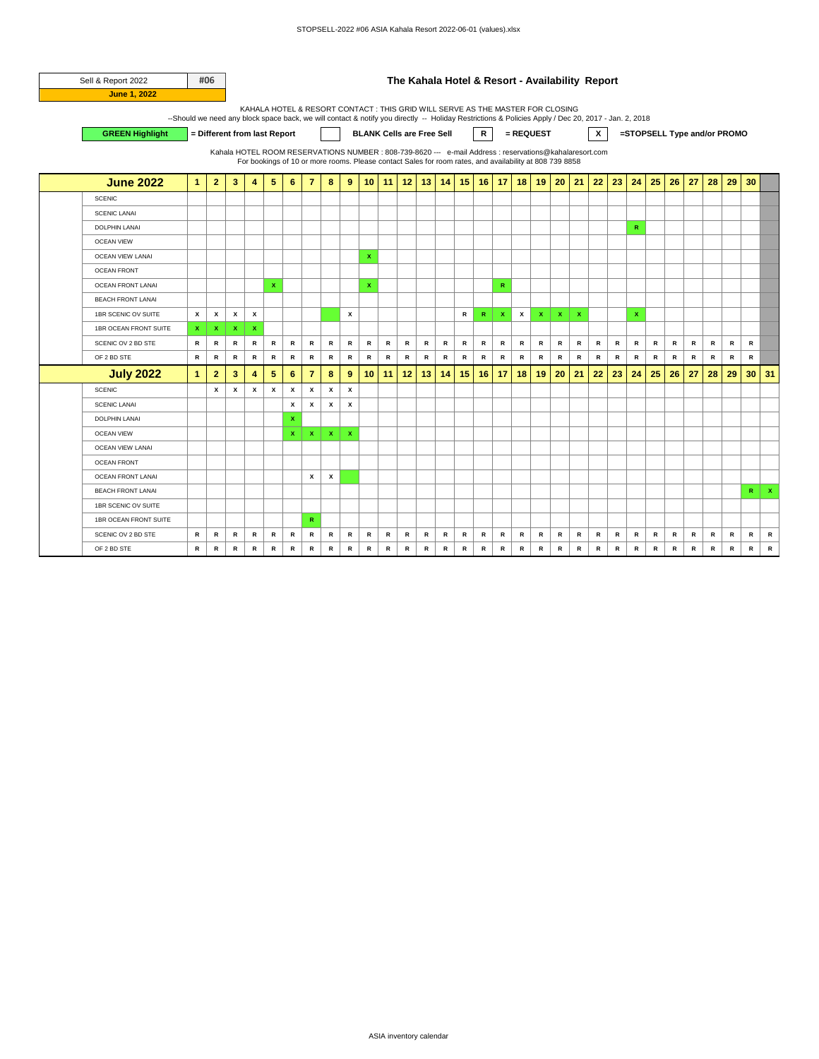| Sell & Report 2022       |                                                                                                                                                     | #06            |                                                                                                         |              |                    |                 |                |              |             |                 |              | The Kahala Hotel & Resort - Availability Report                                                         |              |           |              |              |                           |             |                    |                    |              |               |              |              |               |           |           |                             |           |              |
|--------------------------|-----------------------------------------------------------------------------------------------------------------------------------------------------|----------------|---------------------------------------------------------------------------------------------------------|--------------|--------------------|-----------------|----------------|--------------|-------------|-----------------|--------------|---------------------------------------------------------------------------------------------------------|--------------|-----------|--------------|--------------|---------------------------|-------------|--------------------|--------------------|--------------|---------------|--------------|--------------|---------------|-----------|-----------|-----------------------------|-----------|--------------|
| <b>June 1, 2022</b>      |                                                                                                                                                     |                |                                                                                                         |              |                    |                 |                |              |             |                 |              |                                                                                                         |              |           |              |              |                           |             |                    |                    |              |               |              |              |               |           |           |                             |           |              |
|                          |                                                                                                                                                     |                |                                                                                                         |              |                    |                 |                |              |             |                 |              | KAHALA HOTEL & RESORT CONTACT : THIS GRID WILL SERVE AS THE MASTER FOR CLOSING                          |              |           |              |              |                           |             |                    |                    |              |               |              |              |               |           |           |                             |           |              |
|                          | --Should we need any block space back, we will contact & notify you directly -- Holiday Restrictions & Policies Apply / Dec 20, 2017 - Jan. 2, 2018 |                |                                                                                                         |              |                    |                 |                |              |             |                 |              |                                                                                                         |              |           |              |              |                           |             |                    |                    |              |               |              |              |               |           |           |                             |           |              |
| <b>GREEN Highlight</b>   |                                                                                                                                                     |                | = Different from last Report                                                                            |              |                    |                 |                |              |             |                 |              | <b>BLANK Cells are Free Sell</b>                                                                        |              |           |              | $\mathsf{R}$ |                           | = REQUEST   |                    |                    |              | x             |              |              |               |           |           | =STOPSELL Type and/or PROMO |           |              |
|                          |                                                                                                                                                     |                | Kahala HOTEL ROOM RESERVATIONS NUMBER : 808-739-8620 --- e-mail Address : reservations@kahalaresort.com |              |                    |                 |                |              |             |                 |              | For bookings of 10 or more rooms. Please contact Sales for room rates, and availability at 808 739 8858 |              |           |              |              |                           |             |                    |                    |              |               |              |              |               |           |           |                             |           |              |
|                          |                                                                                                                                                     |                |                                                                                                         |              |                    |                 |                |              |             |                 |              |                                                                                                         |              |           |              |              |                           |             |                    |                    |              |               |              |              |               |           |           |                             |           |              |
| <b>June 2022</b>         | $\mathbf{1}$                                                                                                                                        | $\overline{2}$ | 3                                                                                                       | 4            | 5                  | 6               | 7              | 8            | 9           | 10 <sup>1</sup> | 11           | 12                                                                                                      | 13           | 14        | 15           | 16           |                           | $17$ 18     | 19                 | 20                 | 21           | 22            | 23           | 24           | 25            | 26        | 27        | 28                          | 29        | 30           |
| <b>SCENIC</b>            |                                                                                                                                                     |                |                                                                                                         |              |                    |                 |                |              |             |                 |              |                                                                                                         |              |           |              |              |                           |             |                    |                    |              |               |              |              |               |           |           |                             |           |              |
| <b>SCENIC LANAI</b>      |                                                                                                                                                     |                |                                                                                                         |              |                    |                 |                |              |             |                 |              |                                                                                                         |              |           |              |              |                           |             |                    |                    |              |               |              |              |               |           |           |                             |           |              |
| <b>DOLPHIN LANAI</b>     |                                                                                                                                                     |                |                                                                                                         |              |                    |                 |                |              |             |                 |              |                                                                                                         |              |           |              |              |                           |             |                    |                    |              |               |              | R            |               |           |           |                             |           |              |
| <b>OCEAN VIEW</b>        |                                                                                                                                                     |                |                                                                                                         |              |                    |                 |                |              |             |                 |              |                                                                                                         |              |           |              |              |                           |             |                    |                    |              |               |              |              |               |           |           |                             |           |              |
| <b>OCEAN VIEW LANAI</b>  |                                                                                                                                                     |                |                                                                                                         |              |                    |                 |                |              |             | x               |              |                                                                                                         |              |           |              |              |                           |             |                    |                    |              |               |              |              |               |           |           |                             |           |              |
| <b>OCEAN FRONT</b>       |                                                                                                                                                     |                |                                                                                                         |              |                    |                 |                |              |             |                 |              |                                                                                                         |              |           |              |              |                           |             |                    |                    |              |               |              |              |               |           |           |                             |           |              |
| <b>OCEAN FRONT LANAI</b> |                                                                                                                                                     |                |                                                                                                         |              | x                  |                 |                |              |             | x               |              |                                                                                                         |              |           |              |              | $\mathbb{R}$              |             |                    |                    |              |               |              |              |               |           |           |                             |           |              |
| <b>BEACH FRONT LANAI</b> |                                                                                                                                                     |                |                                                                                                         |              |                    |                 |                |              |             |                 |              |                                                                                                         |              |           |              |              |                           |             |                    |                    |              |               |              |              |               |           |           |                             |           |              |
| 1BR SCENIC OV SUITE      | x                                                                                                                                                   | x              | x                                                                                                       | x            |                    |                 |                |              | x           |                 |              |                                                                                                         |              |           | $\mathsf{R}$ | $\mathbf R$  | $\boldsymbol{\mathsf{x}}$ | x           | $\pmb{\mathsf{x}}$ | $\pmb{\mathsf{x}}$ | $\mathbf{x}$ |               |              | $\mathbf x$  |               |           |           |                             |           |              |
| 1BR OCEAN FRONT SUITE    | x                                                                                                                                                   | $\mathbf x$    | $\mathbf x$                                                                                             | $\mathbf x$  |                    |                 |                |              |             |                 |              |                                                                                                         |              |           |              |              |                           |             |                    |                    |              |               |              |              |               |           |           |                             |           |              |
| SCENIC OV 2 BD STE       | R                                                                                                                                                   | ${\sf R}$      | ${\sf R}$                                                                                               | $\mathsf{R}$ | ${\sf R}$          | $\mathsf{R}$    | R              | ${\sf R}$    | $\,$ R      | ${\sf R}$       | ${\sf R}$    | $\, {\bf R}$                                                                                            | $\, {\bf R}$ | ${\sf R}$ | ${\sf R}$    | ${\sf R}$    | $\mathsf{R}$              | R           | $\mathbf R$        | R                  | ${\sf R}$    | ${\sf R}$     | ${\sf R}$    | R            | R             | ${\sf R}$ | ${\sf R}$ | R                           | $\,$ R    | R            |
| OF 2 BD STE              | R                                                                                                                                                   | $\, {\bf R}$   | $\, {\bf R}$                                                                                            | ${\sf R}$    | $\, {\bf R}$       | ${\sf R}$       | R              | $\, {\bf R}$ | ${\sf R}$   | ${\sf R}$       | $\, {\bf R}$ | R                                                                                                       | $\, {\bf R}$ | ${\sf R}$ | R            | $\, {\bf R}$ | ${\sf R}$                 | R           | $\, {\bf R}$       | $\, {\bf R}$       | ${\sf R}$    | ${\sf R}$     | $\, {\bf R}$ | $\, {\bf R}$ | $\, {\bf R}$  | R         | ${\sf R}$ | $\, {\bf R}$                | R         | $\, {\bf R}$ |
| <b>July 2022</b>         | 1                                                                                                                                                   | $\overline{2}$ | 3                                                                                                       | 4            | 5                  | $6\phantom{1}6$ | $\overline{7}$ | 8            | 9           | 10              | 11           | 12                                                                                                      | 13           | 14        | 15           | 16           | 17                        | 18          | 19                 | 20                 | 21           | 22            | 23           | 24           | 25            | 26        | 27        | 28                          | 29        | 30           |
| <b>SCENIC</b>            |                                                                                                                                                     | x              | x                                                                                                       | x            | $\pmb{\mathsf{x}}$ | x               | x              | x            | x           |                 |              |                                                                                                         |              |           |              |              |                           |             |                    |                    |              |               |              |              |               |           |           |                             |           |              |
| <b>SCENIC LANAI</b>      |                                                                                                                                                     |                |                                                                                                         |              |                    | x               | x              | x            | x           |                 |              |                                                                                                         |              |           |              |              |                           |             |                    |                    |              |               |              |              |               |           |           |                             |           |              |
| <b>DOLPHIN LANAI</b>     |                                                                                                                                                     |                |                                                                                                         |              |                    | x               |                |              |             |                 |              |                                                                                                         |              |           |              |              |                           |             |                    |                    |              |               |              |              |               |           |           |                             |           |              |
| <b>OCEAN VIEW</b>        |                                                                                                                                                     |                |                                                                                                         |              |                    | $\mathbf x$     | $\mathbf{x}$   | $\mathbf x$  | $\mathbf x$ |                 |              |                                                                                                         |              |           |              |              |                           |             |                    |                    |              |               |              |              |               |           |           |                             |           |              |
| <b>OCEAN VIEW LANAI</b>  |                                                                                                                                                     |                |                                                                                                         |              |                    |                 |                |              |             |                 |              |                                                                                                         |              |           |              |              |                           |             |                    |                    |              |               |              |              |               |           |           |                             |           |              |
| <b>OCEAN FRONT</b>       |                                                                                                                                                     |                |                                                                                                         |              |                    |                 |                |              |             |                 |              |                                                                                                         |              |           |              |              |                           |             |                    |                    |              |               |              |              |               |           |           |                             |           |              |
| OCEAN FRONT LANAI        |                                                                                                                                                     |                |                                                                                                         |              |                    |                 | x              | x            |             |                 |              |                                                                                                         |              |           |              |              |                           |             |                    |                    |              |               |              |              |               |           |           |                             |           |              |
| <b>BEACH FRONT LANAI</b> |                                                                                                                                                     |                |                                                                                                         |              |                    |                 |                |              |             |                 |              |                                                                                                         |              |           |              |              |                           |             |                    |                    |              |               |              |              |               |           |           |                             |           | $\mathsf R$  |
| 1BR SCENIC OV SUITE      |                                                                                                                                                     |                |                                                                                                         |              |                    |                 |                |              |             |                 |              |                                                                                                         |              |           |              |              |                           |             |                    |                    |              |               |              |              |               |           |           |                             |           |              |
| 1BR OCEAN FRONT SUITE    |                                                                                                                                                     |                |                                                                                                         |              |                    |                 | R              |              |             |                 |              |                                                                                                         |              |           |              |              |                           |             |                    |                    |              |               |              |              |               |           |           |                             |           |              |
| SCENIC OV 2 BD STE       | R                                                                                                                                                   | ${\sf R}$      | $\mathbf R$                                                                                             | R            | R                  | R               | R              | $\mathsf{R}$ | R           | ${\sf R}$       | ${\sf R}$    | R                                                                                                       | ${\sf R}$    | ${\sf R}$ | R            | ${\sf R}$    | $\mathbb{R}$              | R           | R                  | R                  | $\,$ R       | ${\mathbf R}$ | R            | $\mathsf{R}$ | ${\sf R}$     | R         | R         | R                           | R         | R            |
| OF 2 BD STE              | $\mathsf{R}$                                                                                                                                        | $\,$ R         | $\mathbf R$                                                                                             | ${\sf R}$    | ${\sf R}$          | $\mathbb{R}$    | $\,$ R         | $\mathbf R$  | R           | $\mathbf R$     | $\,$ R       | R                                                                                                       | $\,$ R       | $\,$ R    | ${\sf R}$    | $\mathbf R$  | $\mathbb{R}$              | $\mathbf R$ | $\mathbf R$        | $\,$ R             | $\,$ R       | $\,$ R        | R            | $\,$ R       | ${\mathbf R}$ | ${\sf R}$ | ${\sf R}$ | $\mathbb{R}$                | ${\sf R}$ | $\mathbb{R}$ |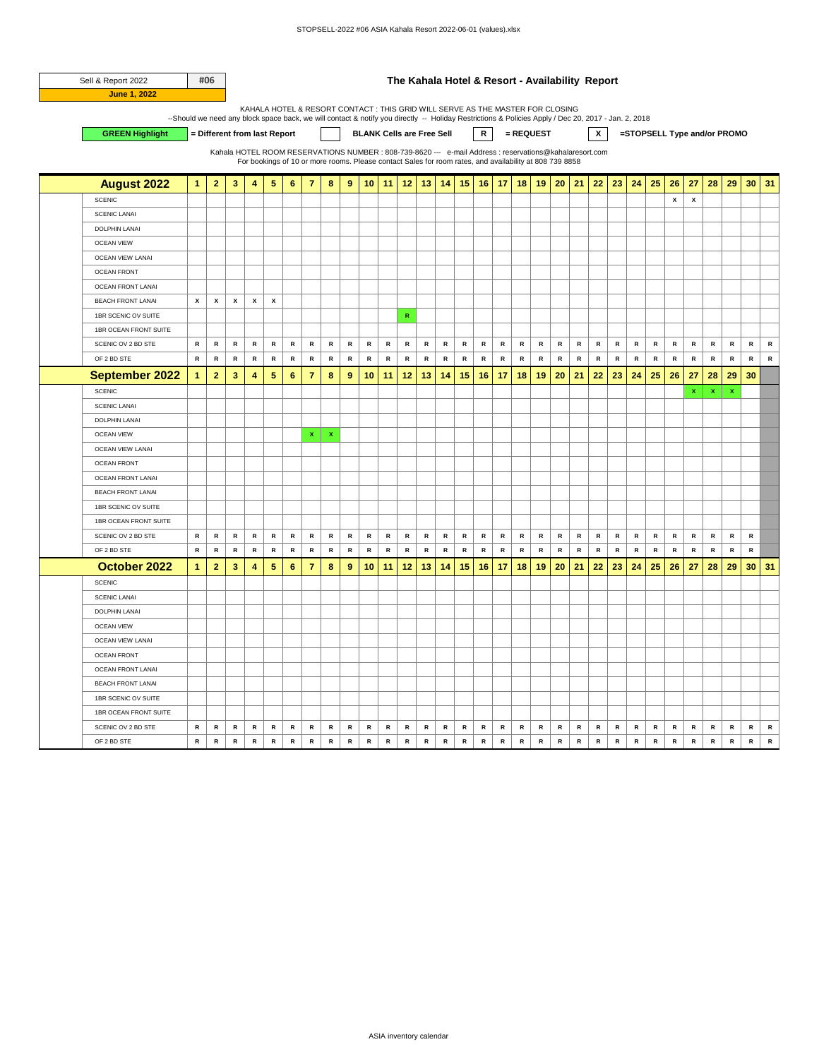| Sell & Report 2022       |              | #06                     |           |                                                                                                                                                                                                                                                                                                                                                                                                                                          |                 |                 |                |                           |                  |              |           |              |               |              |                                                                                                         |              |                 |           |              |           |              |               |           |              |              |              |                    |             |              |                 |              |
|--------------------------|--------------|-------------------------|-----------|------------------------------------------------------------------------------------------------------------------------------------------------------------------------------------------------------------------------------------------------------------------------------------------------------------------------------------------------------------------------------------------------------------------------------------------|-----------------|-----------------|----------------|---------------------------|------------------|--------------|-----------|--------------|---------------|--------------|---------------------------------------------------------------------------------------------------------|--------------|-----------------|-----------|--------------|-----------|--------------|---------------|-----------|--------------|--------------|--------------|--------------------|-------------|--------------|-----------------|--------------|
| <b>June 1, 2022</b>      |              |                         |           | The Kahala Hotel & Resort - Availability Report<br>KAHALA HOTEL & RESORT CONTACT : THIS GRID WILL SERVE AS THE MASTER FOR CLOSING<br>--Should we need any block space back, we will contact & notify you directly -- Holiday Restrictions & Policies Apply / Dec 20, 2017 - Jan. 2, 2018<br>$\mathbf{x}$<br>= Different from last Report<br>$\mathsf{R}$<br>= REQUEST<br>=STOPSELL Type and/or PROMO<br><b>BLANK Cells are Free Sell</b> |                 |                 |                |                           |                  |              |           |              |               |              |                                                                                                         |              |                 |           |              |           |              |               |           |              |              |              |                    |             |              |                 |              |
|                          |              |                         |           |                                                                                                                                                                                                                                                                                                                                                                                                                                          |                 |                 |                |                           |                  |              |           |              |               |              |                                                                                                         |              |                 |           |              |           |              |               |           |              |              |              |                    |             |              |                 |              |
| <b>GREEN Highlight</b>   |              |                         |           |                                                                                                                                                                                                                                                                                                                                                                                                                                          |                 |                 |                |                           |                  |              |           |              |               |              |                                                                                                         |              |                 |           |              |           |              |               |           |              |              |              |                    |             |              |                 |              |
|                          |              |                         |           |                                                                                                                                                                                                                                                                                                                                                                                                                                          |                 |                 |                |                           |                  |              |           |              |               |              | Kahala HOTEL ROOM RESERVATIONS NUMBER : 808-739-8620 --- e-mail Address : reservations@kahalaresort.com |              |                 |           |              |           |              |               |           |              |              |              |                    |             |              |                 |              |
|                          |              |                         |           |                                                                                                                                                                                                                                                                                                                                                                                                                                          |                 |                 |                |                           |                  |              |           |              |               |              | For bookings of 10 or more rooms. Please contact Sales for room rates, and availability at 808 739 8858 |              |                 |           |              |           |              |               |           |              |              |              |                    |             |              |                 |              |
| <b>August 2022</b>       | $\mathbf{1}$ | $\overline{2}$          | 3         | 4                                                                                                                                                                                                                                                                                                                                                                                                                                        | 5               | $6\phantom{1}6$ | $\overline{7}$ | 8                         | 9                | 10           | 11        | 12           | 13            | 14           | 15                                                                                                      | 16           | 17              | 18        | 19           | 20        | 21           | 22            | 23        | 24           | 25           | 26           | 27                 | 28          | 29           | 30 <sub>2</sub> | 31           |
| <b>SCENIC</b>            |              |                         |           |                                                                                                                                                                                                                                                                                                                                                                                                                                          |                 |                 |                |                           |                  |              |           |              |               |              |                                                                                                         |              |                 |           |              |           |              |               |           |              |              | x            | $\pmb{\mathsf{x}}$ |             |              |                 |              |
| <b>SCENIC LANAI</b>      |              |                         |           |                                                                                                                                                                                                                                                                                                                                                                                                                                          |                 |                 |                |                           |                  |              |           |              |               |              |                                                                                                         |              |                 |           |              |           |              |               |           |              |              |              |                    |             |              |                 |              |
| <b>DOLPHIN LANAI</b>     |              |                         |           |                                                                                                                                                                                                                                                                                                                                                                                                                                          |                 |                 |                |                           |                  |              |           |              |               |              |                                                                                                         |              |                 |           |              |           |              |               |           |              |              |              |                    |             |              |                 |              |
| <b>OCEAN VIEW</b>        |              |                         |           |                                                                                                                                                                                                                                                                                                                                                                                                                                          |                 |                 |                |                           |                  |              |           |              |               |              |                                                                                                         |              |                 |           |              |           |              |               |           |              |              |              |                    |             |              |                 |              |
| OCEAN VIEW LANAI         |              |                         |           |                                                                                                                                                                                                                                                                                                                                                                                                                                          |                 |                 |                |                           |                  |              |           |              |               |              |                                                                                                         |              |                 |           |              |           |              |               |           |              |              |              |                    |             |              |                 |              |
| <b>OCEAN FRONT</b>       |              |                         |           |                                                                                                                                                                                                                                                                                                                                                                                                                                          |                 |                 |                |                           |                  |              |           |              |               |              |                                                                                                         |              |                 |           |              |           |              |               |           |              |              |              |                    |             |              |                 |              |
| <b>OCEAN FRONT LANAI</b> |              |                         |           |                                                                                                                                                                                                                                                                                                                                                                                                                                          |                 |                 |                |                           |                  |              |           |              |               |              |                                                                                                         |              |                 |           |              |           |              |               |           |              |              |              |                    |             |              |                 |              |
| <b>BEACH FRONT LANAI</b> | x            | $\pmb{\mathsf{x}}$      | x         | x                                                                                                                                                                                                                                                                                                                                                                                                                                        | x               |                 |                |                           |                  |              |           |              |               |              |                                                                                                         |              |                 |           |              |           |              |               |           |              |              |              |                    |             |              |                 |              |
| 1BR SCENIC OV SUITE      |              |                         |           |                                                                                                                                                                                                                                                                                                                                                                                                                                          |                 |                 |                |                           |                  |              |           | $\mathbf R$  |               |              |                                                                                                         |              |                 |           |              |           |              |               |           |              |              |              |                    |             |              |                 |              |
| 1BR OCEAN FRONT SUITE    |              |                         |           |                                                                                                                                                                                                                                                                                                                                                                                                                                          |                 |                 |                |                           |                  |              |           |              |               |              |                                                                                                         |              |                 |           |              |           |              |               |           |              |              |              |                    |             |              |                 |              |
| SCENIC OV 2 BD STE       | R            | R                       | R         | R                                                                                                                                                                                                                                                                                                                                                                                                                                        | R               | R               | R              | R                         | R                | R            | R         | R            | R             | R            | R                                                                                                       | R            | R               | R         | R            | R         | R            | R             | R         | R            | R            | R            | R                  | R           | R            | R               | ${\sf R}$    |
| OF 2 BD STE              | ${\sf R}$    | $\,$ R                  | ${\sf R}$ | ${\sf R}$                                                                                                                                                                                                                                                                                                                                                                                                                                | $\mathbb{R}$    | $\mathsf{R}$    | ${\sf R}$      | $\mathsf{R}$              | R                | ${\sf R}$    | ${\sf R}$ | $\mathbb{R}$ | $\,$ R        | ${\sf R}$    | ${\sf R}$                                                                                               | ${\sf R}$    | $\, {\bf R} \,$ | $\,$ R    | ${\sf R}$    | $\,$ R    | $\mathsf{R}$ | ${\sf R}$     | $\,$ R    | ${\sf R}$    | ${\sf R}$    | $\mathbb{R}$ | $\mathsf{R}$       | R           | $\mathsf{R}$ | R               | $\, {\bf R}$ |
| <b>September 2022</b>    | $\mathbf{1}$ | $\overline{2}$          | 3         | 4                                                                                                                                                                                                                                                                                                                                                                                                                                        | $\sqrt{5}$      | 6               | $\overline{7}$ | 8                         | $\boldsymbol{9}$ | 10           | 11        | 12           | 13            | 14           | 15                                                                                                      | 16           | 17              | 18        | 19           | 20        | 21           | 22            | 23        | 24           | 25           | 26           | 27                 | 28          | 29           | 30              |              |
| <b>SCENIC</b>            |              |                         |           |                                                                                                                                                                                                                                                                                                                                                                                                                                          |                 |                 |                |                           |                  |              |           |              |               |              |                                                                                                         |              |                 |           |              |           |              |               |           |              |              |              | x                  | $\mathbf x$ | x            |                 |              |
| <b>SCENIC LANAI</b>      |              |                         |           |                                                                                                                                                                                                                                                                                                                                                                                                                                          |                 |                 |                |                           |                  |              |           |              |               |              |                                                                                                         |              |                 |           |              |           |              |               |           |              |              |              |                    |             |              |                 |              |
| <b>DOLPHIN LANAI</b>     |              |                         |           |                                                                                                                                                                                                                                                                                                                                                                                                                                          |                 |                 |                |                           |                  |              |           |              |               |              |                                                                                                         |              |                 |           |              |           |              |               |           |              |              |              |                    |             |              |                 |              |
| <b>OCEAN VIEW</b>        |              |                         |           |                                                                                                                                                                                                                                                                                                                                                                                                                                          |                 |                 | x              | $\boldsymbol{\mathsf{x}}$ |                  |              |           |              |               |              |                                                                                                         |              |                 |           |              |           |              |               |           |              |              |              |                    |             |              |                 |              |
| <b>OCEAN VIEW LANAI</b>  |              |                         |           |                                                                                                                                                                                                                                                                                                                                                                                                                                          |                 |                 |                |                           |                  |              |           |              |               |              |                                                                                                         |              |                 |           |              |           |              |               |           |              |              |              |                    |             |              |                 |              |
| <b>OCEAN FRONT</b>       |              |                         |           |                                                                                                                                                                                                                                                                                                                                                                                                                                          |                 |                 |                |                           |                  |              |           |              |               |              |                                                                                                         |              |                 |           |              |           |              |               |           |              |              |              |                    |             |              |                 |              |
| <b>OCEAN FRONT LANAI</b> |              |                         |           |                                                                                                                                                                                                                                                                                                                                                                                                                                          |                 |                 |                |                           |                  |              |           |              |               |              |                                                                                                         |              |                 |           |              |           |              |               |           |              |              |              |                    |             |              |                 |              |
| <b>BEACH FRONT LANAI</b> |              |                         |           |                                                                                                                                                                                                                                                                                                                                                                                                                                          |                 |                 |                |                           |                  |              |           |              |               |              |                                                                                                         |              |                 |           |              |           |              |               |           |              |              |              |                    |             |              |                 |              |
| 1BR SCENIC OV SUITE      |              |                         |           |                                                                                                                                                                                                                                                                                                                                                                                                                                          |                 |                 |                |                           |                  |              |           |              |               |              |                                                                                                         |              |                 |           |              |           |              |               |           |              |              |              |                    |             |              |                 |              |
| 1BR OCEAN FRONT SUITE    |              |                         |           |                                                                                                                                                                                                                                                                                                                                                                                                                                          |                 |                 |                |                           |                  |              |           |              |               |              |                                                                                                         |              |                 |           |              |           |              |               |           |              |              |              |                    |             |              |                 |              |
| SCENIC OV 2 BD STE       | R            | ${\sf R}$               | ${\sf R}$ | $\, {\bf R} \,$                                                                                                                                                                                                                                                                                                                                                                                                                          | ${\sf R}$       | R               | ${\sf R}$      | ${\sf R}$                 | R                | ${\sf R}$    | ${\sf R}$ | $\,$ R       | ${\mathbf R}$ | ${\sf R}$    | R                                                                                                       | R            | R               | ${\sf R}$ | R            | ${\sf R}$ | ${\sf R}$    | ${\mathbf R}$ | ${\sf R}$ | ${\sf R}$    | ${\sf R}$    | ${\sf R}$    | $\, {\bf R} \,$    | ${\sf R}$   | ${\sf R}$    | ${\sf R}$       |              |
| OF 2 BD STE              | ${\sf R}$    | $\, {\bf R}$            | ${\sf R}$ | ${\sf R}$                                                                                                                                                                                                                                                                                                                                                                                                                                | $\, {\bf R}$    | ${\sf R}$       | ${\sf R}$      | $\, {\bf R}$              | $\, {\bf R}$     | $\, {\bf R}$ | ${\sf R}$ | ${\sf R}$    | ${\sf R}$     | $\, {\bf R}$ | ${\sf R}$                                                                                               | $\, {\bf R}$ | ${\sf R}$       | ${\sf R}$ | $\, {\bf R}$ | ${\sf R}$ | ${\sf R}$    | ${\sf R}$     | ${\sf R}$ | $\, {\bf R}$ | $\, {\bf R}$ | ${\sf R}$    | ${\sf R}$          | ${\sf R}$   | ${\sf R}$    | ${\sf R}$       |              |
| October 2022             | 1            | $\overline{\mathbf{2}}$ | 3         | 4                                                                                                                                                                                                                                                                                                                                                                                                                                        | $5\phantom{.0}$ | 6               | $\overline{7}$ | 8                         | 9                | 10           | 11        | 12           | 13            | 14           | 15                                                                                                      | 16           | 17              | 18        | 19           | 20        | 21           | 22            | 23        | 24           | 25           | 26           | 27                 | 28          | 29           | 30              | 31           |
| <b>SCENIC</b>            |              |                         |           |                                                                                                                                                                                                                                                                                                                                                                                                                                          |                 |                 |                |                           |                  |              |           |              |               |              |                                                                                                         |              |                 |           |              |           |              |               |           |              |              |              |                    |             |              |                 |              |
| <b>SCENIC LANAI</b>      |              |                         |           |                                                                                                                                                                                                                                                                                                                                                                                                                                          |                 |                 |                |                           |                  |              |           |              |               |              |                                                                                                         |              |                 |           |              |           |              |               |           |              |              |              |                    |             |              |                 |              |
| <b>DOLPHIN LANAI</b>     |              |                         |           |                                                                                                                                                                                                                                                                                                                                                                                                                                          |                 |                 |                |                           |                  |              |           |              |               |              |                                                                                                         |              |                 |           |              |           |              |               |           |              |              |              |                    |             |              |                 |              |
| <b>OCEAN VIEW</b>        |              |                         |           |                                                                                                                                                                                                                                                                                                                                                                                                                                          |                 |                 |                |                           |                  |              |           |              |               |              |                                                                                                         |              |                 |           |              |           |              |               |           |              |              |              |                    |             |              |                 |              |
| OCEAN VIEW LANAI         |              |                         |           |                                                                                                                                                                                                                                                                                                                                                                                                                                          |                 |                 |                |                           |                  |              |           |              |               |              |                                                                                                         |              |                 |           |              |           |              |               |           |              |              |              |                    |             |              |                 |              |
| <b>OCEAN FRONT</b>       |              |                         |           |                                                                                                                                                                                                                                                                                                                                                                                                                                          |                 |                 |                |                           |                  |              |           |              |               |              |                                                                                                         |              |                 |           |              |           |              |               |           |              |              |              |                    |             |              |                 |              |
| <b>OCEAN FRONT LANAI</b> |              |                         |           |                                                                                                                                                                                                                                                                                                                                                                                                                                          |                 |                 |                |                           |                  |              |           |              |               |              |                                                                                                         |              |                 |           |              |           |              |               |           |              |              |              |                    |             |              |                 |              |
| <b>BEACH FRONT LANAI</b> |              |                         |           |                                                                                                                                                                                                                                                                                                                                                                                                                                          |                 |                 |                |                           |                  |              |           |              |               |              |                                                                                                         |              |                 |           |              |           |              |               |           |              |              |              |                    |             |              |                 |              |
| 1BR SCENIC OV SUITE      |              |                         |           |                                                                                                                                                                                                                                                                                                                                                                                                                                          |                 |                 |                |                           |                  |              |           |              |               |              |                                                                                                         |              |                 |           |              |           |              |               |           |              |              |              |                    |             |              |                 |              |
| 1BR OCEAN FRONT SUITE    |              |                         |           |                                                                                                                                                                                                                                                                                                                                                                                                                                          |                 |                 |                |                           |                  |              |           |              |               |              |                                                                                                         |              |                 |           |              |           |              |               |           |              |              |              |                    |             |              |                 |              |
| SCENIC OV 2 BD STE       | $\mathsf{R}$ | R                       | R         | R                                                                                                                                                                                                                                                                                                                                                                                                                                        | R               | R               | R              | R                         | R                | R            | R         | R            | R             | R            | R                                                                                                       | R            | R               | R         | R            | R         | R            | R             | R         | R            | R            | R            | R                  | R           | R            | R               | ${\sf R}$    |
| OF 2 BD STE              | ${\sf R}$    | $\mathbf R$             | ${\sf R}$ | $\, {\bf R}$                                                                                                                                                                                                                                                                                                                                                                                                                             | ${\sf R}$       | ${\sf R}$       | ${\sf R}$      | ${\sf R}$                 | $\, {\bf R}$     | R            | ${\sf R}$ | ${\sf R}$    | $\mathsf{R}$  | $\mathsf{R}$ | ${\sf R}$                                                                                               | ${\sf R}$    | ${\sf R}$       | R         | ${\sf R}$    | ${\sf R}$ | ${\sf R}$    | ${\sf R}$     | R         | ${\sf R}$    | $\, {\bf R}$ | ${\sf R}$    | ${\sf R}$          | ${\sf R}$   | $\mathsf{R}$ | $\, {\bf R}$    | ${\sf R}$    |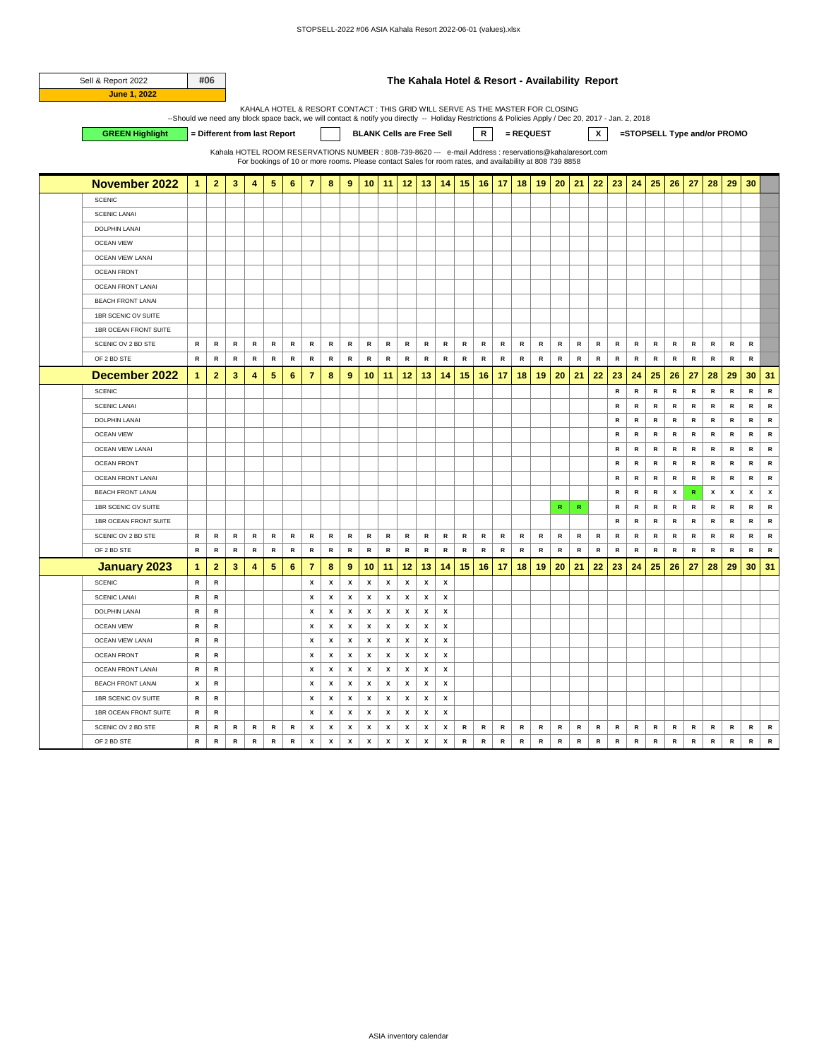| Sell & Report 2022       |                      | #06            |                                                                                                                                                                                                                                                                                                                                                                 |                 |               |              |                |                    |              |                                                                                                         |              |                  | The Kahala Hotel & Resort - Availability Report |                    |              |               |              |              |             |              |              |               |               |              |              |              |              |              |              |              |              |
|--------------------------|----------------------|----------------|-----------------------------------------------------------------------------------------------------------------------------------------------------------------------------------------------------------------------------------------------------------------------------------------------------------------------------------------------------------------|-----------------|---------------|--------------|----------------|--------------------|--------------|---------------------------------------------------------------------------------------------------------|--------------|------------------|-------------------------------------------------|--------------------|--------------|---------------|--------------|--------------|-------------|--------------|--------------|---------------|---------------|--------------|--------------|--------------|--------------|--------------|--------------|--------------|--------------|
| June 1, 2022             |                      |                |                                                                                                                                                                                                                                                                                                                                                                 |                 |               |              |                |                    |              |                                                                                                         |              |                  |                                                 |                    |              |               |              |              |             |              |              |               |               |              |              |              |              |              |              |              |              |
|                          |                      |                | KAHALA HOTEL & RESORT CONTACT : THIS GRID WILL SERVE AS THE MASTER FOR CLOSING<br>--Should we need any block space back, we will contact & notify you directly -- Holiday Restrictions & Policies Apply / Dec 20, 2017 - Jan. 2, 2018<br>x<br>R<br>= REQUEST<br>= Different from last Report<br><b>BLANK Cells are Free Sell</b><br>=STOPSELL Type and/or PROMO |                 |               |              |                |                    |              |                                                                                                         |              |                  |                                                 |                    |              |               |              |              |             |              |              |               |               |              |              |              |              |              |              |              |              |
| <b>GREEN Highlight</b>   |                      |                |                                                                                                                                                                                                                                                                                                                                                                 |                 |               |              |                |                    |              |                                                                                                         |              |                  |                                                 |                    |              |               |              |              |             |              |              |               |               |              |              |              |              |              |              |              |              |
|                          |                      |                |                                                                                                                                                                                                                                                                                                                                                                 |                 |               |              |                |                    |              | Kahala HOTEL ROOM RESERVATIONS NUMBER : 808-739-8620 --- e-mail Address : reservations@kahalaresort.com |              |                  |                                                 |                    |              |               |              |              |             |              |              |               |               |              |              |              |              |              |              |              |              |
|                          |                      |                |                                                                                                                                                                                                                                                                                                                                                                 |                 |               |              |                |                    |              | For bookings of 10 or more rooms. Please contact Sales for room rates, and availability at 808 739 8858 |              |                  |                                                 |                    |              |               |              |              |             |              |              |               |               |              |              |              |              |              |              |              |              |
| <b>November 2022</b>     | $\mathbf{1}$         | $\overline{2}$ | 3                                                                                                                                                                                                                                                                                                                                                               | 4               | 5             | 6            | $\overline{7}$ | 8                  | 9            | 10                                                                                                      | 11           | 12               | 13                                              | 14                 | 15           | 16            | 17           | 18           | 19          | 20           | 21           | 22            | 23            | 24           | 25           | 26           | 27           | 28           | 29           | 30           |              |
| <b>SCENIC</b>            |                      |                |                                                                                                                                                                                                                                                                                                                                                                 |                 |               |              |                |                    |              |                                                                                                         |              |                  |                                                 |                    |              |               |              |              |             |              |              |               |               |              |              |              |              |              |              |              |              |
| <b>SCENIC LANAI</b>      |                      |                |                                                                                                                                                                                                                                                                                                                                                                 |                 |               |              |                |                    |              |                                                                                                         |              |                  |                                                 |                    |              |               |              |              |             |              |              |               |               |              |              |              |              |              |              |              |              |
| <b>DOLPHIN LANAI</b>     |                      |                |                                                                                                                                                                                                                                                                                                                                                                 |                 |               |              |                |                    |              |                                                                                                         |              |                  |                                                 |                    |              |               |              |              |             |              |              |               |               |              |              |              |              |              |              |              |              |
| <b>OCEAN VIEW</b>        |                      |                |                                                                                                                                                                                                                                                                                                                                                                 |                 |               |              |                |                    |              |                                                                                                         |              |                  |                                                 |                    |              |               |              |              |             |              |              |               |               |              |              |              |              |              |              |              |              |
| <b>OCEAN VIEW LANAI</b>  |                      |                |                                                                                                                                                                                                                                                                                                                                                                 |                 |               |              |                |                    |              |                                                                                                         |              |                  |                                                 |                    |              |               |              |              |             |              |              |               |               |              |              |              |              |              |              |              |              |
| <b>OCEAN FRONT</b>       |                      |                |                                                                                                                                                                                                                                                                                                                                                                 |                 |               |              |                |                    |              |                                                                                                         |              |                  |                                                 |                    |              |               |              |              |             |              |              |               |               |              |              |              |              |              |              |              |              |
| <b>OCEAN FRONT LANAI</b> |                      |                |                                                                                                                                                                                                                                                                                                                                                                 |                 |               |              |                |                    |              |                                                                                                         |              |                  |                                                 |                    |              |               |              |              |             |              |              |               |               |              |              |              |              |              |              |              |              |
| <b>BEACH FRONT LANAI</b> |                      |                |                                                                                                                                                                                                                                                                                                                                                                 |                 |               |              |                |                    |              |                                                                                                         |              |                  |                                                 |                    |              |               |              |              |             |              |              |               |               |              |              |              |              |              |              |              |              |
| 1BR SCENIC OV SUITE      |                      |                |                                                                                                                                                                                                                                                                                                                                                                 |                 |               |              |                |                    |              |                                                                                                         |              |                  |                                                 |                    |              |               |              |              |             |              |              |               |               |              |              |              |              |              |              |              |              |
| 1BR OCEAN FRONT SUITE    |                      |                |                                                                                                                                                                                                                                                                                                                                                                 |                 |               |              |                |                    |              |                                                                                                         |              |                  |                                                 |                    |              |               |              |              |             |              |              |               |               |              |              |              |              |              |              |              |              |
| SCENIC OV 2 BD STE       | $\mathsf{R}$         | $\mathbb{R}$   | $\mathbb{R}$                                                                                                                                                                                                                                                                                                                                                    | $\mathbb{R}$    | $\mathbb{R}$  | $\mathbb{R}$ | R              | R                  | $\, {\bf R}$ | R                                                                                                       | R            | $\mathsf{R}$     | $\mathbb{R}$                                    | $\mathbb{R}$       | $\mathbf R$  | R             | $\mathbb{R}$ | R            | R           | ${\sf R}$    | ${\sf R}$    | ${\mathbf R}$ | $\mathsf{R}$  | R            | R            | $\mathbf R$  | R            | $\mathbb{R}$ | R            | $\mathbf R$  |              |
| OF 2 BD STE              | $\mathsf{R}$         | ${\mathbf R}$  | ${\sf R}$                                                                                                                                                                                                                                                                                                                                                       | $\, {\bf R} \,$ | ${\mathsf R}$ | ${\sf R}$    | ${\sf R}$      | ${\sf R}$          | ${\sf R}$    | $\,$ R                                                                                                  | ${\sf R}$    | ${\sf R}$        | ${\mathbf R}$                                   | ${\sf R}$          | ${\sf R}$    | ${\mathbf R}$ | ${\sf R}$    | $\mathbb{R}$ | ${\sf R}$   | ${\sf R}$    | $\,$ R       | ${\sf R}$     | ${\mathbf R}$ | ${\sf R}$    | ${\sf R}$    | ${\sf R}$    | ${\sf R}$    | ${\sf R}$    | $\mathbb{R}$ | ${\sf R}$    |              |
| December 2022            | $\mathbf{1}$         | $\overline{2}$ | 3                                                                                                                                                                                                                                                                                                                                                               | 4               | 5             | 6            | $\overline{7}$ | 8                  | 9            | 10                                                                                                      | 11           | 12               | 13                                              | 14                 | 15           | 16            | 17           | 18           | 19          | 20           | 21           | 22            | 23            | 24           | 25           | 26           | 27           | 28           | 29           | 30           | 31           |
| <b>SCENIC</b>            |                      |                |                                                                                                                                                                                                                                                                                                                                                                 |                 |               |              |                |                    |              |                                                                                                         |              |                  |                                                 |                    |              |               |              |              |             |              |              |               | ${\sf R}$     | ${\sf R}$    | $\, {\bf R}$ | ${\sf R}$    | ${\sf R}$    | ${\sf R}$    | $\, {\bf R}$ | ${\sf R}$    | ${\sf R}$    |
| <b>SCENIC LANAI</b>      |                      |                |                                                                                                                                                                                                                                                                                                                                                                 |                 |               |              |                |                    |              |                                                                                                         |              |                  |                                                 |                    |              |               |              |              |             |              |              |               | $\mathsf{R}$  | $\mathbb{R}$ | R            | R            | R            | R            | R            | R            | $\, {\bf R}$ |
| DOLPHIN LANAI            |                      |                |                                                                                                                                                                                                                                                                                                                                                                 |                 |               |              |                |                    |              |                                                                                                         |              |                  |                                                 |                    |              |               |              |              |             |              |              |               | $\mathbf R$   | R            | ${\sf R}$    | ${\sf R}$    | ${\sf R}$    | R            | R            | ${\sf R}$    | ${\sf R}$    |
| <b>OCEAN VIEW</b>        |                      |                |                                                                                                                                                                                                                                                                                                                                                                 |                 |               |              |                |                    |              |                                                                                                         |              |                  |                                                 |                    |              |               |              |              |             |              |              |               | $\mathsf{R}$  | $\mathsf{R}$ | $\mathsf{R}$ | $\mathsf{R}$ | $\mathbf R$  | R            | R            | R            | ${\sf R}$    |
| <b>OCEAN VIEW LANAI</b>  |                      |                |                                                                                                                                                                                                                                                                                                                                                                 |                 |               |              |                |                    |              |                                                                                                         |              |                  |                                                 |                    |              |               |              |              |             |              |              |               | R             | ${\sf R}$    | ${\sf R}$    | R            | ${\sf R}$    | ${\sf R}$    | ${\sf R}$    | $\,$ R       | ${\sf R}$    |
| <b>OCEAN FRONT</b>       |                      |                |                                                                                                                                                                                                                                                                                                                                                                 |                 |               |              |                |                    |              |                                                                                                         |              |                  |                                                 |                    |              |               |              |              |             |              |              |               | R             | R            | R            | R            | R            | R            | R            | R            | $\, {\bf R}$ |
| <b>OCEAN FRONT LANA</b>  |                      |                |                                                                                                                                                                                                                                                                                                                                                                 |                 |               |              |                |                    |              |                                                                                                         |              |                  |                                                 |                    |              |               |              |              |             |              |              |               | $\mathsf{R}$  | $\mathbb{R}$ | $\mathsf{R}$ | $\mathsf{R}$ | $\mathbb{R}$ | R            | $\mathsf{R}$ | $\mathbb{R}$ | ${\sf R}$    |
| <b>BEACH FRONT LANAI</b> |                      |                |                                                                                                                                                                                                                                                                                                                                                                 |                 |               |              |                |                    |              |                                                                                                         |              |                  |                                                 |                    |              |               |              |              |             |              |              |               | $\mathbf R$   | ${\sf R}$    | ${\sf R}$    | x            | ${\sf R}$    | x            | x            | x            | x            |
| 1BR SCENIC OV SUITE      |                      |                |                                                                                                                                                                                                                                                                                                                                                                 |                 |               |              |                |                    |              |                                                                                                         |              |                  |                                                 |                    |              |               |              |              |             | $\mathbf R$  | ${\sf R}$    |               | $\, {\bf R}$  | ${\sf R}$    | ${\sf R}$    | ${\sf R}$    | ${\sf R}$    | R            | $\, {\bf R}$ | ${\sf R}$    | R            |
| 1BR OCEAN FRONT SUITE    |                      |                |                                                                                                                                                                                                                                                                                                                                                                 |                 |               |              |                |                    |              |                                                                                                         |              |                  |                                                 |                    |              |               |              |              |             |              |              |               | $\mathsf{R}$  | ${\sf R}$    | ${\sf R}$    | ${\sf R}$    | ${\sf R}$    | ${\sf R}$    | ${\sf R}$    | $\,$ R       | ${\sf R}$    |
| SCENIC OV 2 BD STE       | $\mathsf{R}$         | R              | $\mathbf R$                                                                                                                                                                                                                                                                                                                                                     | $\mathsf{R}$    | R             | R            | R              | ${\sf R}$          | $\mathsf{R}$ | ${\sf R}$                                                                                               | R            | R                | R                                               | R                  | $\mathsf{R}$ | R             | R            | R            | ${\sf R}$   | R            | $\, {\bf R}$ | ${\sf R}$     | ${\sf R}$     | ${\sf R}$    | $\, {\bf R}$ | ${\sf R}$    | ${\sf R}$    | R            | R            | ${\sf R}$    | ${\sf R}$    |
| OF 2 BD STE              | $\mathsf{R}$         | $\mathbb{R}$   | $\mathbb{R}$                                                                                                                                                                                                                                                                                                                                                    | R               | $\mathbb{R}$  | $\mathbb{R}$ | $\mathsf{R}$   | $\mathbf R$        | $\mathsf{R}$ | $\mathbf R$                                                                                             | $\mathbb{R}$ | $\mathsf{R}$     | $\mathbb{R}$                                    | $\mathbb{R}$       | R            | $\mathbb{R}$  | $\mathbb{R}$ | R            | $\mathbf R$ | $\mathsf{R}$ | $\mathbf R$  | ${\mathbf R}$ | $\mathsf{R}$  | $\mathsf{R}$ | $\,$ R       | R            | $\mathbb{R}$ | R            | $\mathsf{R}$ | $\mathbb{R}$ | $\mathbf R$  |
| <b>January 2023</b>      | $\blacktriangleleft$ | $\overline{2}$ | 3                                                                                                                                                                                                                                                                                                                                                               | 4               | 5             | 6            | 7              | 8                  | 9            | 10                                                                                                      | 11           | 12               | 13                                              | 14                 | 15           | 16            | 17           | 18           | 19          | 20           | 21           | 22            | 23            | 24           | 25           | 26           | 27           | 28           | 29           | 30           | 31           |
| <b>SCENIC</b>            | R                    | ${\sf R}$      |                                                                                                                                                                                                                                                                                                                                                                 |                 |               |              | x              | x                  | x            | X                                                                                                       | x            | x                | $\pmb{\mathsf{x}}$                              | x                  |              |               |              |              |             |              |              |               |               |              |              |              |              |              |              |              |              |
| <b>SCENIC LANAI</b>      | $\mathsf{R}$         | $\,$ R         |                                                                                                                                                                                                                                                                                                                                                                 |                 |               |              | x              | x                  | x            | x                                                                                                       | x            | x                | $\pmb{\chi}$                                    | $\pmb{\chi}$       |              |               |              |              |             |              |              |               |               |              |              |              |              |              |              |              |              |
| <b>DOLPHIN LANAI</b>     | R                    | R              |                                                                                                                                                                                                                                                                                                                                                                 |                 |               |              | х              | x                  | х            | х                                                                                                       | x            | x                | x                                               | x                  |              |               |              |              |             |              |              |               |               |              |              |              |              |              |              |              |              |
| <b>OCEAN VIEW</b>        | $\mathsf{R}$         | ${\sf R}$      |                                                                                                                                                                                                                                                                                                                                                                 |                 |               |              | x              | x                  | x            | x                                                                                                       | x            | x                | x                                               | x                  |              |               |              |              |             |              |              |               |               |              |              |              |              |              |              |              |              |
| <b>OCEAN VIEW LANAI</b>  | ${\sf R}$            | $\mathbb{R}$   |                                                                                                                                                                                                                                                                                                                                                                 |                 |               |              | x              | x                  | х            | x                                                                                                       | x            | x                | x                                               | x                  |              |               |              |              |             |              |              |               |               |              |              |              |              |              |              |              |              |
| <b>OCEAN FRONT</b>       | R                    | ${\sf R}$      |                                                                                                                                                                                                                                                                                                                                                                 |                 |               |              | x              | x                  | x            | x                                                                                                       | x            | x                | x                                               | x                  |              |               |              |              |             |              |              |               |               |              |              |              |              |              |              |              |              |
| <b>OCEAN FRONT LANAI</b> | $\mathsf{R}$         | ${\sf R}$      |                                                                                                                                                                                                                                                                                                                                                                 |                 |               |              | x              | x                  | х            | х                                                                                                       | x            | x                | x                                               | x                  |              |               |              |              |             |              |              |               |               |              |              |              |              |              |              |              |              |
| <b>BEACH FRONT LANAI</b> | х                    | $\mathbb{R}$   |                                                                                                                                                                                                                                                                                                                                                                 |                 |               |              | х              | x                  | х            | х                                                                                                       | x            | х                | x                                               | x                  |              |               |              |              |             |              |              |               |               |              |              |              |              |              |              |              |              |
| 1BR SCENIC OV SUITE      | ${\sf R}$            | ${\sf R}$      |                                                                                                                                                                                                                                                                                                                                                                 |                 |               |              | x              | x                  | x            | X                                                                                                       | x            | x                | x                                               | x                  |              |               |              |              |             |              |              |               |               |              |              |              |              |              |              |              |              |
| 1BR OCEAN FRONT SUITE    | $\mathsf{R}$         | $\mathsf{R}$   |                                                                                                                                                                                                                                                                                                                                                                 |                 |               |              | X              | x                  | X            | x                                                                                                       | x            | $\boldsymbol{x}$ | X                                               | x                  |              |               |              |              |             |              |              |               |               |              |              |              |              |              |              |              |              |
| SCENIC OV 2 BD STE       | R                    | R              | R                                                                                                                                                                                                                                                                                                                                                               | R               | R             | R            | х              | x                  | x            | х                                                                                                       | x            | x                | x                                               | х                  | R            | R             | R            | R            | R           | R            | R            | R             | R             | R            | R            | R            | R            | R            | R            | R            | R            |
| OF 2 BD STE              | $\mathsf{R}$         | $\,$ R         | $\,$ R                                                                                                                                                                                                                                                                                                                                                          | $\,$ R          | $\mathsf R$   | $\,$ R       | x              | $\pmb{\mathsf{x}}$ | x            | x                                                                                                       | x            | X                | x                                               | $\pmb{\mathsf{x}}$ | ${\sf R}$    | ${\sf R}$     | $\mathbb{R}$ | $\,$ R       | ${\sf R}$   | ${\sf R}$    | $\,$ R       | $\,$ R        | ${\sf R}$     | $\,$ R       | $\,$ R       | $\,$ R       | ${\sf R}$    | R            | R            | ${\sf R}$    | $\,$ R       |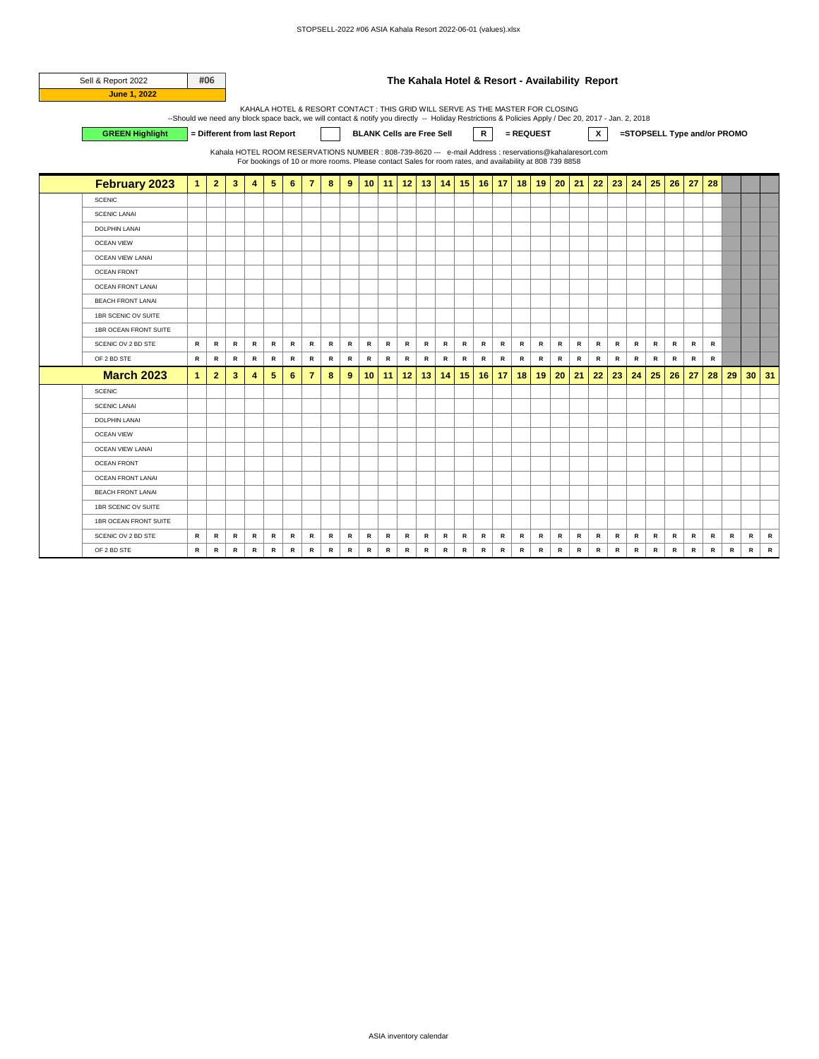| Sell & Report 2022       |                                                                                                                                                     | #06            |                                                                                                         |              |                                                                                                         |                |                |              |           |                                  |              |           |               |    |              |                |           |           |           | The Kahala Hotel & Resort - Availability Report |              |              |               |              |              |           |              |           |                             |           |        |
|--------------------------|-----------------------------------------------------------------------------------------------------------------------------------------------------|----------------|---------------------------------------------------------------------------------------------------------|--------------|---------------------------------------------------------------------------------------------------------|----------------|----------------|--------------|-----------|----------------------------------|--------------|-----------|---------------|----|--------------|----------------|-----------|-----------|-----------|-------------------------------------------------|--------------|--------------|---------------|--------------|--------------|-----------|--------------|-----------|-----------------------------|-----------|--------|
| <b>June 1, 2022</b>      |                                                                                                                                                     |                |                                                                                                         |              |                                                                                                         |                |                |              |           |                                  |              |           |               |    |              |                |           |           |           |                                                 |              |              |               |              |              |           |              |           |                             |           |        |
|                          | --Should we need any block space back, we will contact & notify you directly -- Holiday Restrictions & Policies Apply / Dec 20, 2017 - Jan. 2, 2018 |                |                                                                                                         |              | KAHALA HOTEL & RESORT CONTACT : THIS GRID WILL SERVE AS THE MASTER FOR CLOSING                          |                |                |              |           |                                  |              |           |               |    |              |                |           |           |           |                                                 |              |              |               |              |              |           |              |           |                             |           |        |
| <b>GREEN Highlight</b>   |                                                                                                                                                     |                | = Different from last Report                                                                            |              |                                                                                                         |                |                |              |           | <b>BLANK Cells are Free Sell</b> |              |           |               |    |              | $\mathsf{R}^-$ |           | = REQUEST |           |                                                 |              | $\mathsf{x}$ |               |              |              |           |              |           | =STOPSELL Type and/or PROMO |           |        |
|                          |                                                                                                                                                     |                |                                                                                                         |              |                                                                                                         |                |                |              |           |                                  |              |           |               |    |              |                |           |           |           |                                                 |              |              |               |              |              |           |              |           |                             |           |        |
|                          |                                                                                                                                                     |                | Kahala HOTEL ROOM RESERVATIONS NUMBER : 808-739-8620 --- e-mail Address : reservations@kahalaresort.com |              | For bookings of 10 or more rooms. Please contact Sales for room rates, and availability at 808 739 8858 |                |                |              |           |                                  |              |           |               |    |              |                |           |           |           |                                                 |              |              |               |              |              |           |              |           |                             |           |        |
| <b>February 2023</b>     | $\mathbf{1}$                                                                                                                                        | $\overline{2}$ | 3                                                                                                       | 4            | 5                                                                                                       | 6              | $\overline{7}$ | 8            | 9         | 10 <sup>1</sup>                  | 11           | 12        | 13            | 14 | 15           |                | $16$ 17   | 18        | 19        | 20                                              | 21           | 22           | 23            | 24           | 25           | 26        | 27           | 28        |                             |           |        |
|                          |                                                                                                                                                     |                |                                                                                                         |              |                                                                                                         |                |                |              |           |                                  |              |           |               |    |              |                |           |           |           |                                                 |              |              |               |              |              |           |              |           |                             |           |        |
| <b>SCENIC</b>            |                                                                                                                                                     |                |                                                                                                         |              |                                                                                                         |                |                |              |           |                                  |              |           |               |    |              |                |           |           |           |                                                 |              |              |               |              |              |           |              |           |                             |           |        |
| <b>SCENIC LANAI</b>      |                                                                                                                                                     |                |                                                                                                         |              |                                                                                                         |                |                |              |           |                                  |              |           |               |    |              |                |           |           |           |                                                 |              |              |               |              |              |           |              |           |                             |           |        |
| <b>DOLPHIN LANAI</b>     |                                                                                                                                                     |                |                                                                                                         |              |                                                                                                         |                |                |              |           |                                  |              |           |               |    |              |                |           |           |           |                                                 |              |              |               |              |              |           |              |           |                             |           |        |
| <b>OCEAN VIEW</b>        |                                                                                                                                                     |                |                                                                                                         |              |                                                                                                         |                |                |              |           |                                  |              |           |               |    |              |                |           |           |           |                                                 |              |              |               |              |              |           |              |           |                             |           |        |
| <b>OCEAN VIEW LANAI</b>  |                                                                                                                                                     |                |                                                                                                         |              |                                                                                                         |                |                |              |           |                                  |              |           |               |    |              |                |           |           |           |                                                 |              |              |               |              |              |           |              |           |                             |           |        |
| <b>OCEAN FRONT</b>       |                                                                                                                                                     |                |                                                                                                         |              |                                                                                                         |                |                |              |           |                                  |              |           |               |    |              |                |           |           |           |                                                 |              |              |               |              |              |           |              |           |                             |           |        |
| <b>OCEAN FRONT LANAI</b> |                                                                                                                                                     |                |                                                                                                         |              |                                                                                                         |                |                |              |           |                                  |              |           |               |    |              |                |           |           |           |                                                 |              |              |               |              |              |           |              |           |                             |           |        |
| <b>BEACH FRONT LANAI</b> |                                                                                                                                                     |                |                                                                                                         |              |                                                                                                         |                |                |              |           |                                  |              |           |               |    |              |                |           |           |           |                                                 |              |              |               |              |              |           |              |           |                             |           |        |
| 1BR SCENIC OV SUITE      |                                                                                                                                                     |                |                                                                                                         |              |                                                                                                         |                |                |              |           |                                  |              |           |               |    |              |                |           |           |           |                                                 |              |              |               |              |              |           |              |           |                             |           |        |
| 1BR OCEAN FRONT SUITE    |                                                                                                                                                     |                |                                                                                                         |              |                                                                                                         |                |                |              |           |                                  |              |           |               |    |              |                |           |           |           |                                                 |              |              |               |              |              |           |              |           |                             |           |        |
| SCENIC OV 2 BD STE       | R                                                                                                                                                   | R              | ${\sf R}$                                                                                               | R            | ${\sf R}$                                                                                               | R              | R              | ${\sf R}$    | R         | R                                | ${\sf R}$    | $\,$ R    | ${\mathbf R}$ | R  | ${\sf R}$    | ${\sf R}$      | ${\sf R}$ | ${\sf R}$ | ${\sf R}$ | R                                               | ${\sf R}$    | $\mathsf{R}$ | ${\mathbf R}$ | $\mathsf{R}$ | R            | R         | $\mathsf{R}$ | R         |                             |           |        |
| OF 2 BD STE              | $\,$ R                                                                                                                                              | $\,$ R         | $\,$ R                                                                                                  | R            | $\,$ R                                                                                                  | R              | ${\sf R}$      | ${\sf R}$    | $\,$ R    | ${\sf R}$                        | $\,$ R       | ${\sf R}$ | $\,$ R        | R  | $\, {\bf R}$ | $\,$ R         | $\,$ R    | ${\sf R}$ | $\,$ R    | $\,$ R                                          | ${\sf R}$    | $\,$ R       | $\,$ R        | $\,$ R       | $\,$ R       | $\,$ R    | $\,$ R       | R         |                             |           |        |
| <b>March 2023</b>        | $\mathbf{1}$                                                                                                                                        | $\overline{2}$ | 3                                                                                                       | 4            | 5                                                                                                       | $6\phantom{1}$ | $\overline{7}$ | 8            | 9         | 10                               | 11           | 12        | 13            | 14 | 15           | 16             | 17        | 18        | 19        | 20                                              | 21           | 22           | 23            | 24           | 25           | 26        | 27           | 28        | 29                          | 30        | 31     |
| <b>SCENIC</b>            |                                                                                                                                                     |                |                                                                                                         |              |                                                                                                         |                |                |              |           |                                  |              |           |               |    |              |                |           |           |           |                                                 |              |              |               |              |              |           |              |           |                             |           |        |
| <b>SCENIC LANAI</b>      |                                                                                                                                                     |                |                                                                                                         |              |                                                                                                         |                |                |              |           |                                  |              |           |               |    |              |                |           |           |           |                                                 |              |              |               |              |              |           |              |           |                             |           |        |
| <b>DOLPHIN LANAI</b>     |                                                                                                                                                     |                |                                                                                                         |              |                                                                                                         |                |                |              |           |                                  |              |           |               |    |              |                |           |           |           |                                                 |              |              |               |              |              |           |              |           |                             |           |        |
| <b>OCEAN VIEW</b>        |                                                                                                                                                     |                |                                                                                                         |              |                                                                                                         |                |                |              |           |                                  |              |           |               |    |              |                |           |           |           |                                                 |              |              |               |              |              |           |              |           |                             |           |        |
| <b>OCEAN VIEW LANAI</b>  |                                                                                                                                                     |                |                                                                                                         |              |                                                                                                         |                |                |              |           |                                  |              |           |               |    |              |                |           |           |           |                                                 |              |              |               |              |              |           |              |           |                             |           |        |
| <b>OCEAN FRONT</b>       |                                                                                                                                                     |                |                                                                                                         |              |                                                                                                         |                |                |              |           |                                  |              |           |               |    |              |                |           |           |           |                                                 |              |              |               |              |              |           |              |           |                             |           |        |
| <b>OCEAN FRONT LANAI</b> |                                                                                                                                                     |                |                                                                                                         |              |                                                                                                         |                |                |              |           |                                  |              |           |               |    |              |                |           |           |           |                                                 |              |              |               |              |              |           |              |           |                             |           |        |
| <b>BEACH FRONT LANAI</b> |                                                                                                                                                     |                |                                                                                                         |              |                                                                                                         |                |                |              |           |                                  |              |           |               |    |              |                |           |           |           |                                                 |              |              |               |              |              |           |              |           |                             |           |        |
| 1BR SCENIC OV SUITE      |                                                                                                                                                     |                |                                                                                                         |              |                                                                                                         |                |                |              |           |                                  |              |           |               |    |              |                |           |           |           |                                                 |              |              |               |              |              |           |              |           |                             |           |        |
| 1BR OCEAN FRONT SUITE    |                                                                                                                                                     |                |                                                                                                         |              |                                                                                                         |                |                |              |           |                                  |              |           |               |    |              |                |           |           |           |                                                 |              |              |               |              |              |           |              |           |                             |           |        |
| SCENIC OV 2 BD STE       | R                                                                                                                                                   | R              | R                                                                                                       | R            | R                                                                                                       | R              | R              | R            | R         | R                                | R            | R         | R             | R  | R            | R              | R         | R         | $\,$ R    | R                                               | $\mathsf{R}$ | R            | R             | R            | R            | R         | R            | R         | R                           | R         | R      |
| OF 2 BD STE              | R                                                                                                                                                   | $\mathsf{R}$   | ${\sf R}$                                                                                               | $\, {\bf R}$ | ${\sf R}$                                                                                               | R              | ${\sf R}$      | $\, {\bf R}$ | ${\sf R}$ | ${\sf R}$                        | $\, {\bf R}$ | ${\sf R}$ | ${\sf R}$     | R  | ${\sf R}$    | ${\sf R}$      | ${\sf R}$ | ${\sf R}$ | ${\sf R}$ | ${\sf R}$                                       | ${\sf R}$    | $\mathsf{R}$ | $\, {\bf R}$  | ${\sf R}$    | $\, {\bf R}$ | ${\sf R}$ | ${\sf R}$    | ${\sf R}$ | $\, {\bf R}$                | ${\sf R}$ | $\,$ R |